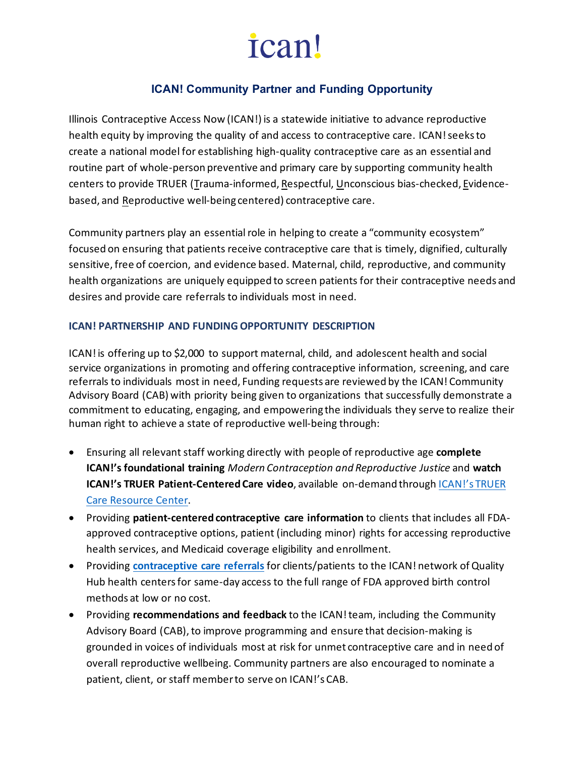# *ican!*

### **ICAN! Community Partner and Funding Opportunity**

Illinois Contraceptive Access Now (ICAN!) is a statewide initiative to advance reproductive health equity by improving the quality of and access to contraceptive care. ICAN! seeks to create a national model for establishing high-quality contraceptive care as an essential and routine part of whole-person preventive and primary care by supporting community health centers to provide TRUER (Trauma-informed, Respectful, Unconscious bias-checked, Evidencebased, and Reproductive well-being centered) contraceptive care.

Community partners play an essential role in helping to create a "community ecosystem" focused on ensuring that patients receive contraceptive care that is timely, dignified, culturally sensitive, free of coercion, and evidence based. Maternal, child, reproductive, and community health organizations are uniquely equipped to screen patients for their contraceptive needs and desires and provide care referrals to individuals most in need.

#### **ICAN! PARTNERSHIP AND FUNDING OPPORTUNITY DESCRIPTION**

ICAN! is offering up to \$2,000 to support maternal, child, and adolescent health and social service organizations in promoting and offering contraceptive information, screening, and care referrals to individuals most in need, Funding requests are reviewed by the ICAN! Community Advisory Board (CAB) with priority being given to organizations that successfully demonstrate a commitment to educating, engaging, and empowering the individuals they serve to realize their human right to achieve a state of reproductive well-being through:

- Ensuring all relevant staff working directly with people of reproductive age **complete ICAN!'s foundational training** *Modern Contraception and Reproductive Justice* and **watch ICAN!'s TRUER Patient-Centered Care video**, available on-demand through [ICAN!'s TRUER](https://ican4all.org/provider-resources/)  [Care Resource Center.](https://ican4all.org/provider-resources/)
- Providing **patient-centered contraceptive care information** to clients that includes all FDAapproved contraceptive options, patient (including minor) rights for accessing reproductive health services, and Medicaid coverage eligibility and enrollment.
- Providing **[contraceptive care referrals](https://ican4all.org/ican-referrer-page/)** for clients/patients to the ICAN! network of Quality Hub health centersfor same-day access to the full range of FDA approved birth control methods at low or no cost.
- Providing **recommendations and feedback** to the ICAN! team, including the Community Advisory Board (CAB), to improve programming and ensure that decision-making is grounded in voices of individuals most at risk for unmet contraceptive care and in need of overall reproductive wellbeing. Community partners are also encouraged to nominate a patient, client, or staff member to serve on ICAN!'s CAB.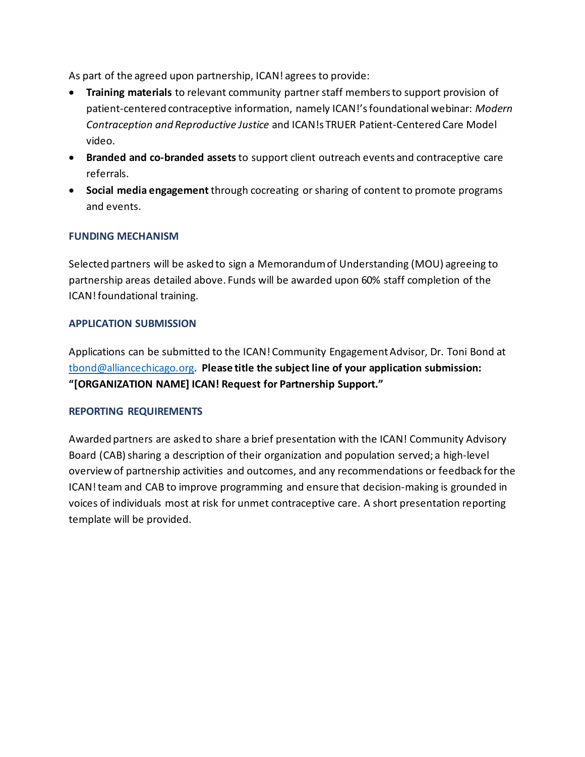As part of the agreed upon partnership, ICAN! agrees to provide:

- **Training materials** to relevant community partner staff members to support provision of patient-centered contraceptive information, namely ICAN!'s foundational webinar: *Modern Contraception and Reproductive Justice* and ICAN!s TRUER Patient-Centered Care Model video.
- **Branded and co-branded assets** to support client outreach events and contraceptive care referrals.
- **Social media engagement** through cocreating or sharing of content to promote programs and events.

#### **FUNDING MECHANISM**

Selected partners will be asked to sign a Memorandum of Understanding (MOU) agreeing to partnership areas detailed above. Funds will be awarded upon 60% staff completion of the ICAN! foundational training.

#### **APPLICATION SUBMISSION**

Applications can be submitted to the ICAN! Community Engagement Advisor, Dr. Toni Bond at [tbond@alliancechicago.org.](mailto:tbond@alliancechicago.org) **Please title the subject line of your application submission: "[ORGANIZATION NAME] ICAN! Request for Partnership Support."**

#### **REPORTING REQUIREMENTS**

Awarded partners are asked to share a brief presentation with the ICAN! Community Advisory Board (CAB) sharing a description of their organization and population served; a high-level overview of partnership activities and outcomes, and any recommendations or feedback for the ICAN! team and CAB to improve programming and ensure that decision-making is grounded in voices of individuals most at risk for unmet contraceptive care. A short presentation reporting template will be provided.